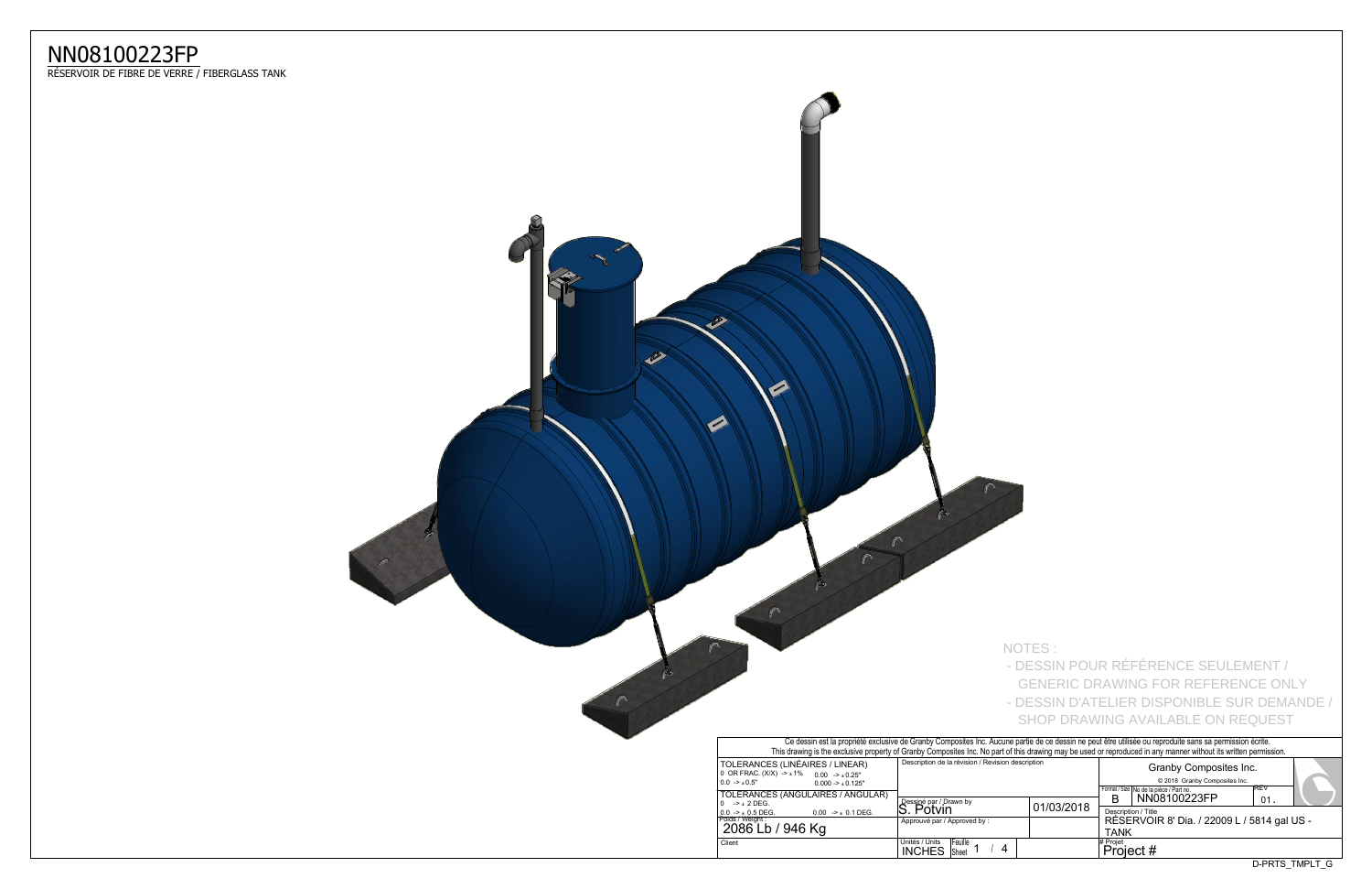## NN08100223FP<br>RÉSERVOIR DE FIBRE DE VERRE / FIBERGLASS TANK



**Contract Contract Contract** 

|                                                                                                                                                                                  |            |                       | <b>SHOP DRAWING AVAILABLE ON REQUEST</b>                           |  |              |  |  |  |  |  |  |
|----------------------------------------------------------------------------------------------------------------------------------------------------------------------------------|------------|-----------------------|--------------------------------------------------------------------|--|--------------|--|--|--|--|--|--|
| ne partie de ce dessin ne peut être utilisée ou reproduite sans sa permission écrite.<br>of this drawing may be used or reproduced in any manner without its written permission. |            |                       |                                                                    |  |              |  |  |  |  |  |  |
| n description                                                                                                                                                                    |            |                       | Granby Composites Inc.<br>© 2018 Granby Composites Inc.            |  |              |  |  |  |  |  |  |
|                                                                                                                                                                                  |            | R                     | Format / Size   No de la pièce / Part no.<br>NN08100223FP          |  | REV<br>01    |  |  |  |  |  |  |
|                                                                                                                                                                                  | 01/03/2018 | TANK                  | Description / Title<br>RÉSERVOIR 8' Dia. / 22009 L / 5814 gal US - |  |              |  |  |  |  |  |  |
|                                                                                                                                                                                  |            | # Projet<br>Project # |                                                                    |  |              |  |  |  |  |  |  |
|                                                                                                                                                                                  |            |                       |                                                                    |  | D-PRTS TMPLT |  |  |  |  |  |  |

NOTES: - DESSIN POUR RÉFÉRENCE SEULEMENT / GENERIC DRAWING FOR REFERENCE ONLY - DESSIN D'ATELIER DISPONIBLE SUR DEMANDE /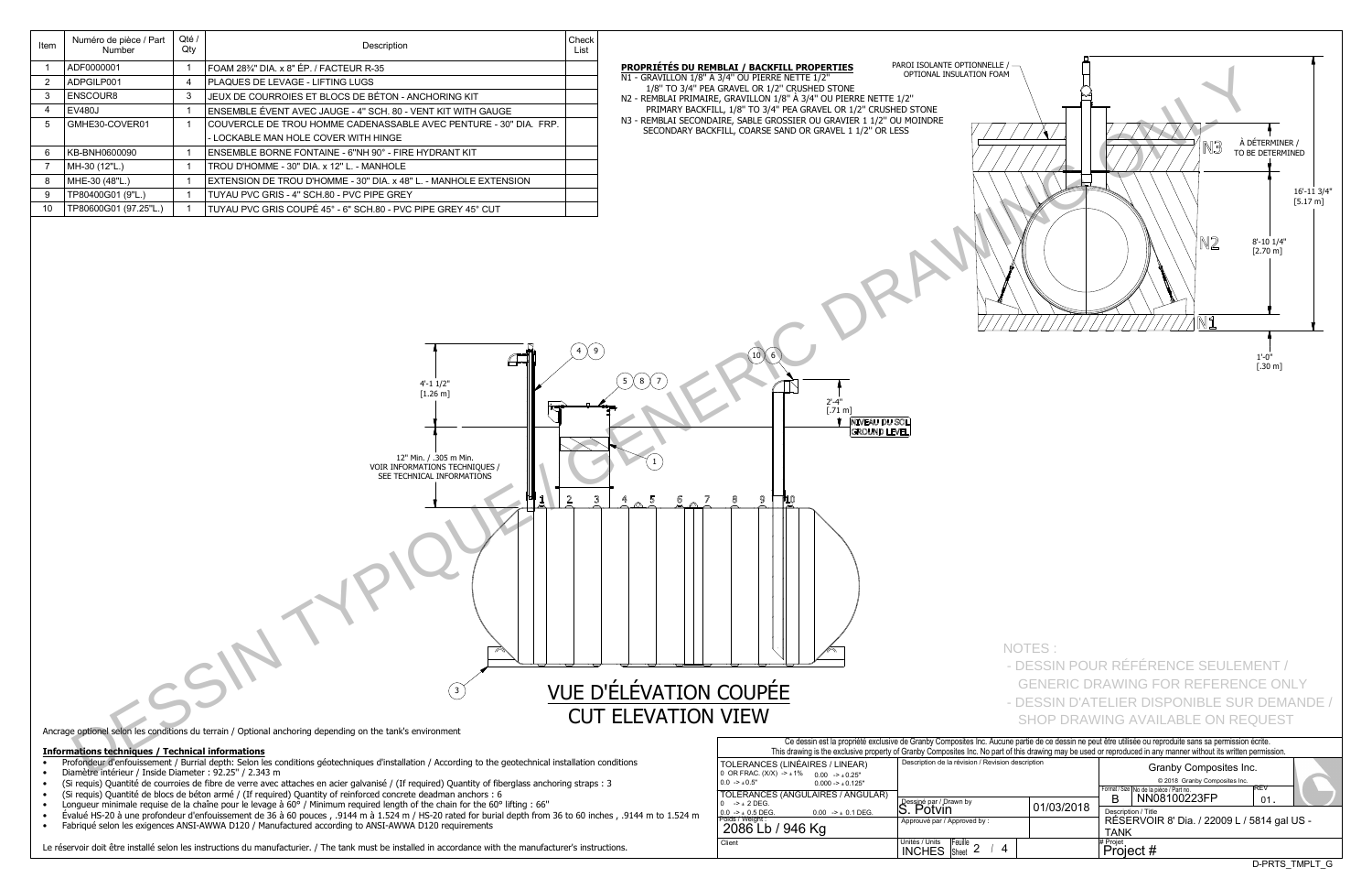| 2              | 11212000001<br>ADPGILP001                               | 4            | I UNIVIZU/4 DIA. AU LI . II AUTLUIN INJU<br>PLAQUES DE LEVAGE - LIFTING LUGS                                                    |                                     |                                                                         | N1 - GRAVILLON 1/8" À 3/4" OU PIERRE NETTE 1/2"                                                           |
|----------------|---------------------------------------------------------|--------------|---------------------------------------------------------------------------------------------------------------------------------|-------------------------------------|-------------------------------------------------------------------------|-----------------------------------------------------------------------------------------------------------|
| 3              | ENSCOUR8                                                | 3            | JEUX DE COURROIES ET BLOCS DE BÉTON - ANCHORING KIT                                                                             |                                     |                                                                         | 1/8" TO 3/4" PEA GRAVEL OR 1/2" CRUSHED STONE<br>N2 - REMBLAI PRIMAIRE, GRAVILLON 1/8" À 3/4" OU PIERRE I |
| $\overline{4}$ | <b>EV480J</b>                                           | $\mathbf{1}$ | ENSEMBLE ÉVENT AVEC JAUGE - 4" SCH. 80 - VENT KIT WITH GAUGE                                                                    |                                     |                                                                         | PRIMARY BACKFILL, 1/8" TO 3/4" PEA GRAVEL OR 1/2"                                                         |
| 5              | GMHE30-COVER01                                          | $\mathbf{1}$ | COUVERCLE DE TROU HOMME CADENASSABLE AVEC PENTURE - 30" DIA. FRP.                                                               |                                     |                                                                         | N3 - REMBLAI SECONDAIRE, SABLE GROSSIER OU GRAVIER 1                                                      |
|                |                                                         |              | - LOCKABLE MAN HOLE COVER WITH HINGE                                                                                            |                                     |                                                                         | SECONDARY BACKFILL, COARSE SAND OR GRAVEL 1 1/2                                                           |
| 6              | KB-BNH0600090                                           | $\mathbf{1}$ | ENSEMBLE BORNE FONTAINE - 6"NH 90° - FIRE HYDRANT KIT                                                                           |                                     |                                                                         |                                                                                                           |
| 7              | MH-30 (12"L.)                                           | $\mathbf{1}$ | TROU D'HOMME - 30" DIA. x 12" L. - MANHOLE                                                                                      |                                     |                                                                         |                                                                                                           |
| 8              | MHE-30 (48"L.)                                          | $\mathbf{1}$ | EXTENSION DE TROU D'HOMME - 30" DIA. x 48" L. - MANHOLE EXTENSION                                                               |                                     |                                                                         |                                                                                                           |
| 9              | TP80400G01 (9"L.)                                       | $\mathbf{1}$ | TUYAU PVC GRIS - 4" SCH.80 - PVC PIPE GREY                                                                                      |                                     |                                                                         |                                                                                                           |
| 10             | TP80600G01 (97.25"L.)                                   | $\mathbf{1}$ | TUYAU PVC GRIS COUPÉ 45° - 6" SCH.80 - PVC PIPE GREY 45° CUT                                                                    |                                     |                                                                         |                                                                                                           |
|                |                                                         |              | $4' - 1$ $1/2"$<br>$[1.26 \; m]$<br>12" Min. / .305 m Min.<br>VOIR INFORMATIONS TECHNIQUES /<br>SEE TECHNICAL INFORMATIONS<br>3 | $4 \times 9$<br>3<br>$\overline{2}$ | 8<br>5<br>5<br>7<br>VUE D'ÉLÉVATION COUPÉE<br><b>CUT ELEVATION VIEW</b> | 10 <sup>8</sup><br>6<br>2'-4"<br>[.71 m]<br><b>NIVE</b><br>GRO<br>9<br>710<br>8                           |
|                |                                                         |              | Ancrage optionel selon les conditions du terrain / Optional anchoring depending on the tank's environment                       |                                     |                                                                         | Ce dessin est la propriété                                                                                |
|                | <b>Informations techniques / Technical informations</b> |              |                                                                                                                                 |                                     |                                                                         | This drawing is the exclusive p                                                                           |

Description

FOAM 28<sup>3</sup>/4" DIA. x 8" ÉP. / FACTEUR R-35

Check

List

PROPRIÉTÉS DU REMBLAI / BACKFILL PROPERTIES

Diamètre intérieur / Inside Diameter : 92.25" / 2.343 m  $\bullet$ 

Qté /

Qty

 $\overline{1}$ 

Numéro de pièce / Part

Number

ADF0000001

Item

 $\overline{1}$ 

- (Si requis) Quantité de courroies de fibre de verre avec attaches en acier galvanisé / (If required) Quantity of fiberglass anchoring straps : 3  $\bullet$
- (Si requis) Quantité de blocs de béton armé / (If required) Quantity of reinforced concrete deadman anchors : 6  $\bullet$
- Longueur minimale requise de la chaîne pour le levage à 60° / Minimum required length of the chain for the 60° lifting : 66"  $\bullet$
- Évalué HS-20 à une profondeur d'enfouissement de 36 à 60 pouces, .9144 m à 1.524 m / HS-20 rated for burial depth from 36 to 60 inches, .9144 m to 1.524 m  $\bullet$
- Fabriqué selon les exigences ANSI-AWWA D120 / Manufactured according to ANSI-AWWA D120 requirements  $\bullet$

Le réservoir doit être installé selon les instructions du manufacturier. / The tank must be installed in accordance with the manufacturer's instructions.

| Ce dessin est la propriété exclusive de Granby Composites Inc. Aucune<br>This drawing is the exclusive property of Granby Composites Inc. No part of |                                         |                |  |
|------------------------------------------------------------------------------------------------------------------------------------------------------|-----------------------------------------|----------------|--|
| TOLERANCES (LINÉAIRES / LINEAR)<br>0 OR FRAC. (X/X) -> $\pm$ 1% 0.00 -> $\pm$ 0.25"<br>$0.0 - > 0.5$ "<br>$0.000 - 1.0125$ "                         | Description de la révision / Revision o |                |  |
| TOLERANCES (ANGULAIRES / ANGULAR)                                                                                                                    |                                         |                |  |
| $-2 + 2$ DEG.<br>$^{\circ}$                                                                                                                          | Dessiné par / Drawn by                  |                |  |
| $0.0 -\geq \pm 0.5$ DEG.<br>$0.00$ -> $\pm$ 0.1 DEG.                                                                                                 | S. Potvin                               |                |  |
| Poids / Weight :<br>2086 Lb / 946 Kg                                                                                                                 | Approuvé par / Approved by :            |                |  |
| Client                                                                                                                                               | Unités / Units<br><b>INCHES</b> Sheet   | <b>Feuille</b> |  |



D-PRTS\_TMPLT\_G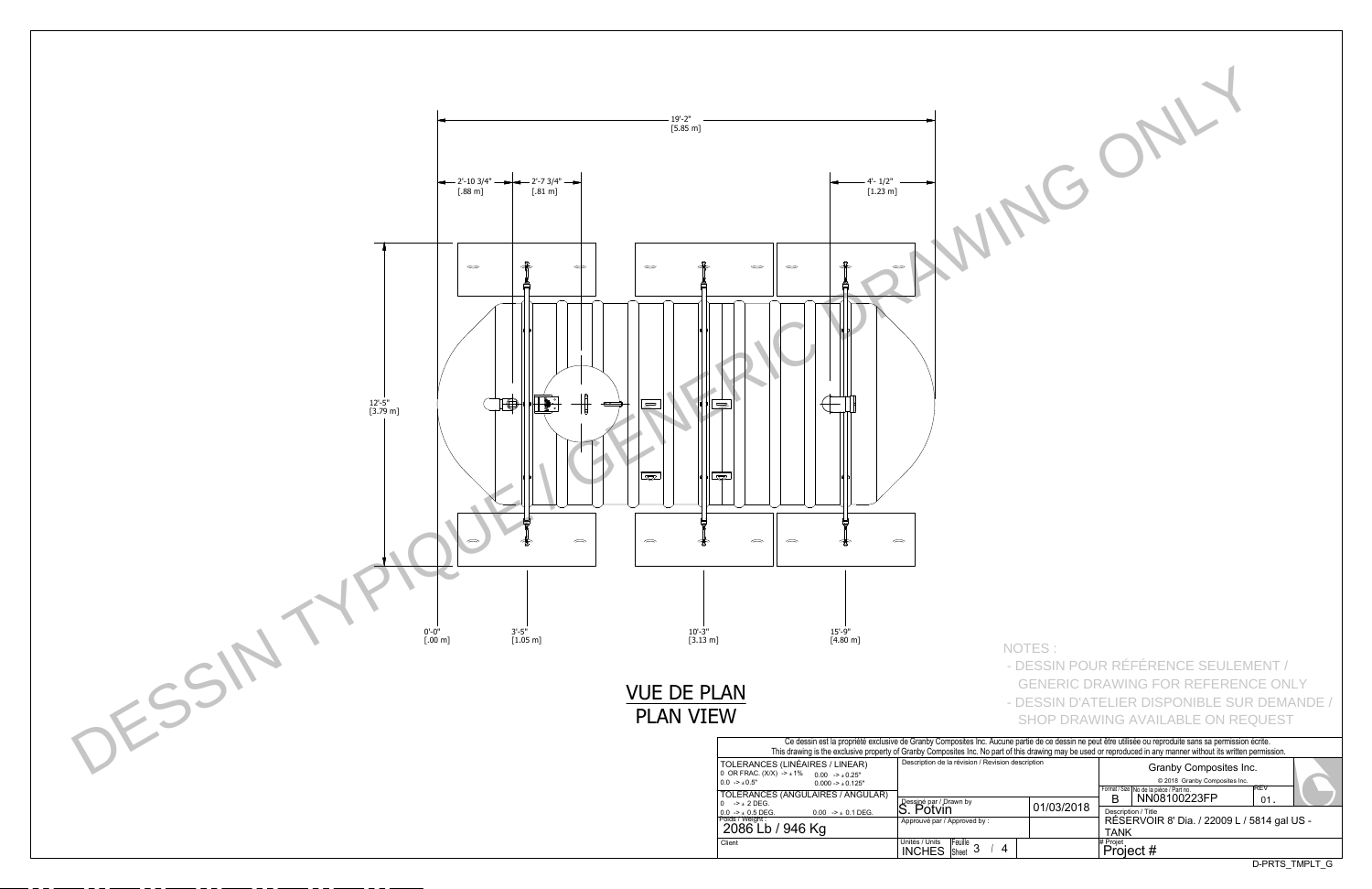

| NOTES:         |                                                                                                                                                                                   |
|----------------|-----------------------------------------------------------------------------------------------------------------------------------------------------------------------------------|
|                | - DESSIN POUR RÉFÉRENCE SEULEMENT /                                                                                                                                               |
|                | <b>GENERIC DRAWING FOR REFERENCE ONLY</b>                                                                                                                                         |
|                | - DESSIN D'ATELIER DISPONIBLE SUR DEMANDE /                                                                                                                                       |
|                | SHOP DRAWING AVAILABLE ON REQUEST                                                                                                                                                 |
|                | une partie de ce dessin ne peut être utilisée ou reproduite sans sa permission écrite.<br>of this drawing may be used or reproduced in any manner without its written permission. |
| on description | Granby Composites Inc.                                                                                                                                                            |
|                | @ 2018 Granby Composites Inc.<br>REV<br>Format / Size   No de la pièce / Part no.                                                                                                 |
| 01/03/2018     | NN08100223FP<br>В<br>01.<br>Description / Title                                                                                                                                   |
|                | RÉSERVOIR 8' Dia. / 22009 L / 5814 gal US -<br>TANK                                                                                                                               |
| 4              | # Projet<br>Project #                                                                                                                                                             |
|                | D-PRTS_TMPLT_G                                                                                                                                                                    |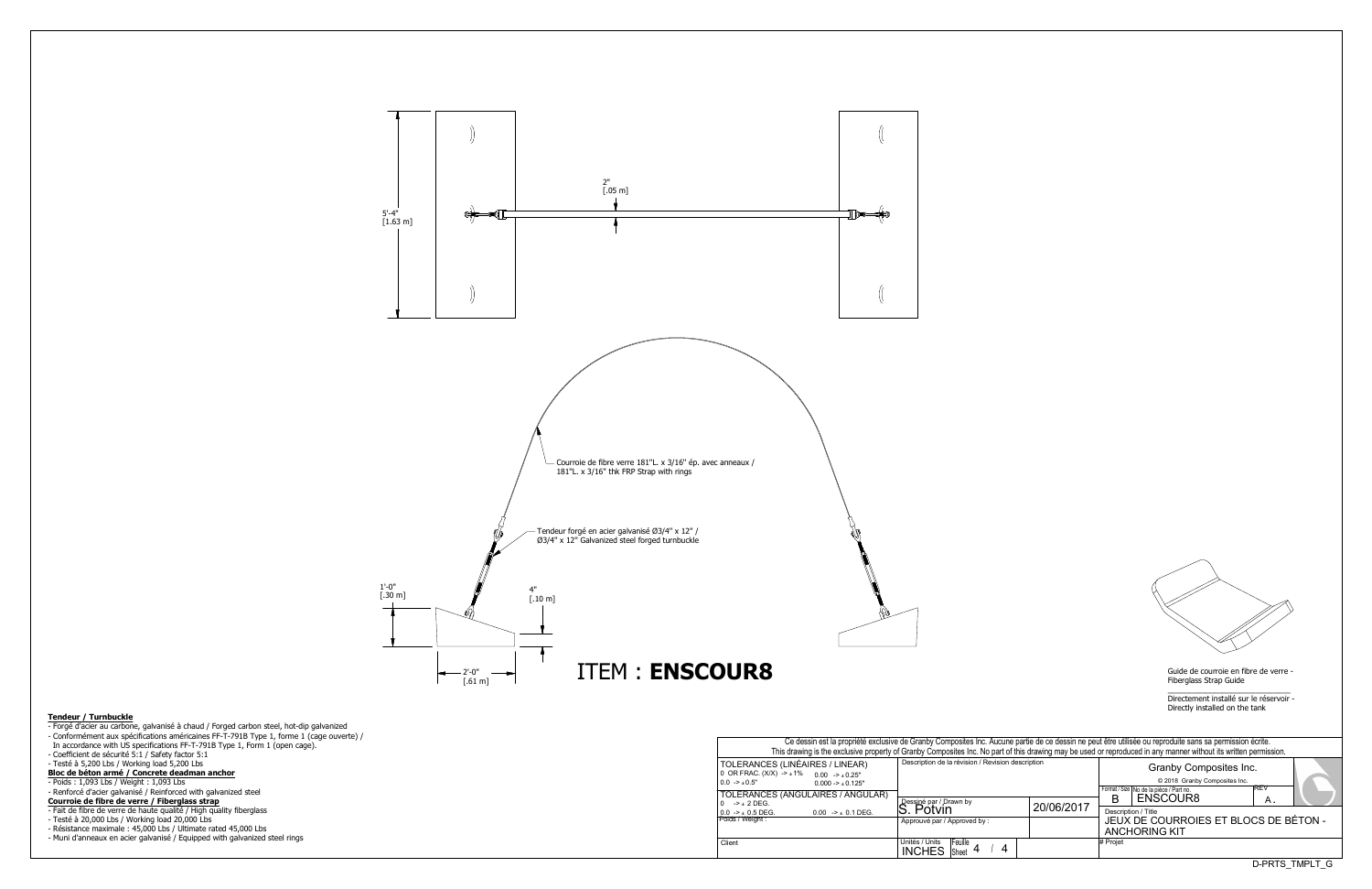Fiberglass Strap Guide

\_\_\_\_\_\_\_\_\_\_\_\_\_\_\_\_\_\_\_\_\_\_\_\_\_\_\_\_\_ Directement installé sur le réservoir -Directly installed on the tank

| Ce dessin est la propriété exclusive de Granby Composites Inc. Aucune partie de ce dessin ne peut être utilisée ou reproduite sans sa permission écrite.         |                                                                 |            |                                                                                                      |                |  |  |  |  |  |  |  |  |  |  |
|------------------------------------------------------------------------------------------------------------------------------------------------------------------|-----------------------------------------------------------------|------------|------------------------------------------------------------------------------------------------------|----------------|--|--|--|--|--|--|--|--|--|--|
| This drawing is the exclusive property of Granby Composites Inc. No part of this drawing may be used or reproduced in any manner without its written permission. |                                                                 |            |                                                                                                      |                |  |  |  |  |  |  |  |  |  |  |
| S (LINÉAIRES / LINEAR)<br>$(X)$ -> $\pm$ 1% 0.00 -> $\pm$ 0.25"<br>$0.000 - 1.000 - 1.000$<br>S (ANGULAIRES / ANGULAR)                                           | Description de la révision / Revision description               |            | Granby Composites Inc.<br>© 2018 Granby Composites Inc.<br>Format / Size   No de la pièce / Part no. | IREV           |  |  |  |  |  |  |  |  |  |  |
|                                                                                                                                                                  |                                                                 |            | ENSCOUR8<br>в                                                                                        | Α.             |  |  |  |  |  |  |  |  |  |  |
| $0.00$ -> $\pm$ 0.1 DEG.                                                                                                                                         | Dessiné par / Drawn by<br>S. Potvin                             | 20/06/2017 | Description / Title                                                                                  |                |  |  |  |  |  |  |  |  |  |  |
|                                                                                                                                                                  | Approuvé par / Approved by:                                     |            | JEUX DE COURROIES ET BLOCS DE BÉTON -                                                                |                |  |  |  |  |  |  |  |  |  |  |
|                                                                                                                                                                  |                                                                 |            | <b>ANCHORING KIT</b>                                                                                 |                |  |  |  |  |  |  |  |  |  |  |
|                                                                                                                                                                  | Unités / Units<br>Feuille<br>4<br><b>INCHES</b><br><b>Sheet</b> |            | # Projet                                                                                             |                |  |  |  |  |  |  |  |  |  |  |
|                                                                                                                                                                  |                                                                 |            |                                                                                                      | D-PRTS TMPLT G |  |  |  |  |  |  |  |  |  |  |

|                                                                                                          | Ce dessin est la propriété exclusive de Granby Composites Inc. Aucune partie de ce dessin ne peut être u<br>This drawing is the exclusive property of Granby Composites Inc. No part of this drawing may be used or repro |                                     |                  |  |  |            |            |
|----------------------------------------------------------------------------------------------------------|---------------------------------------------------------------------------------------------------------------------------------------------------------------------------------------------------------------------------|-------------------------------------|------------------|--|--|------------|------------|
| TOLERANCES (LINÉAIRES / LINEAR)<br>0 OR FRAC. $(X/X)$ -> $\pm$ 1% 0.00 -> $\pm$ 0.25"<br>$0.0 - > 0.5$ " | Description de la révision / Revision description                                                                                                                                                                         |                                     |                  |  |  |            |            |
| TOLERANCES (ANGULAIRES / ANGULAR)                                                                        |                                                                                                                                                                                                                           |                                     |                  |  |  |            | Format / S |
| $0 \rightarrow +2$ DEG.<br>$0.0 \rightarrow \pm 0.5$ DEG.                                                | $0.00$ -> $\pm$ 0.1 DEG.                                                                                                                                                                                                  | Dessiné par / Drawn by<br>S. Potvin |                  |  |  | 20/06/2017 | в<br>Descr |
| Poids / Weight :                                                                                         |                                                                                                                                                                                                                           | Approuvé par / Approved by:         |                  |  |  |            | JEU<br>ANC |
| Client                                                                                                   |                                                                                                                                                                                                                           | Unités / Units<br><b>INCHES</b>     | Feuille<br>Sheet |  |  |            | # Projet   |





## **Tendeur / Turnbuckle**

- Forgé d'acier au carbone, galvanisé à chaud / Forged carbon steel, hot-dip galvanized
- Conformément aux spécifications américaines FF-T-791B Type 1, forme 1 (cage ouverte) /
- In accordance with US specifications FF-T-791B Type 1, Form 1 (open cage).
- Coefficient de sécurité 5:1 / Safety factor 5:1
- Testé à 5,200 Lbs / Working load 5,200 Lbs
- **Bloc de bpton armp / Concrete deadman anchor**
- Poids : 1,093 Lbs / Weight : 1,093 Lbs
- Renforcé d'acier galvanisé / Reinforced with galvanized steel

## **Courroie de fibre de verre / Fiberglass strap**

- Fait de fibre de verre de haute qualité / High quality fiberglass
- Testé à 20,000 Lbs / Working load 20,000 Lbs
- Résistance maximale : 45,000 Lbs / Ultimate rated 45,000 Lbs
- Muni d'anneaux en acier galvanisé / Equipped with galvanized steel rings